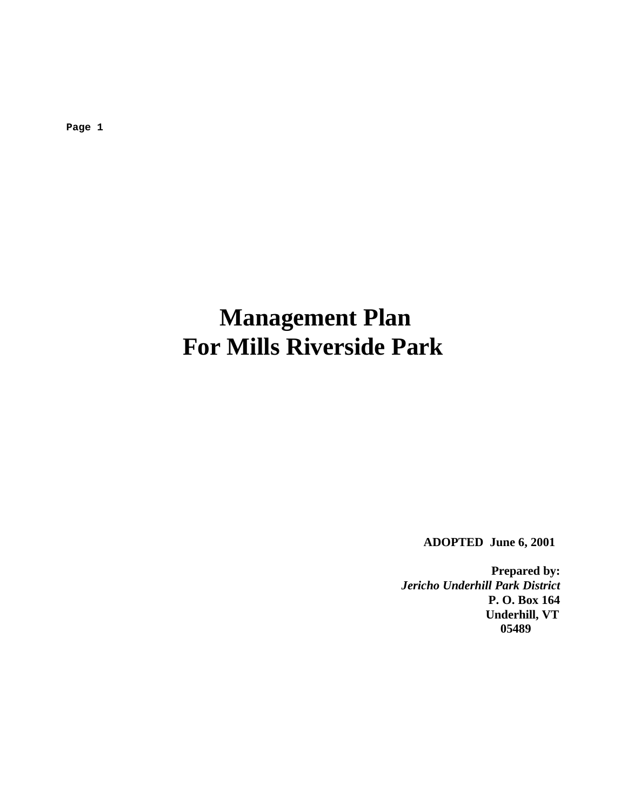**Page 1**

# **Management Plan For Mills Riverside Park**

 **ADOPTED June 6, 2001**

**Prepared by:** *Jericho Underhill Park District* **P. O. Box 164 Underhill, VT 05489**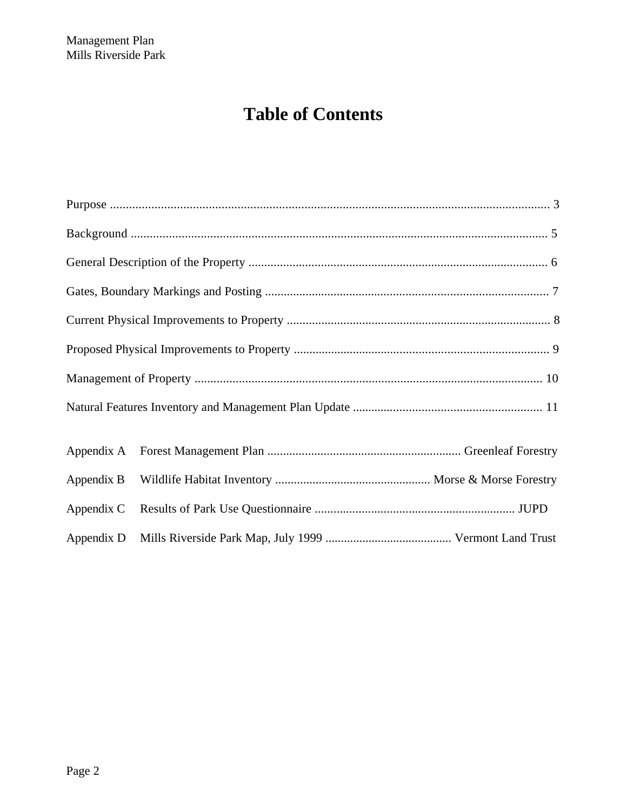# **Table of Contents**

| Appendix C |  |
|------------|--|
|            |  |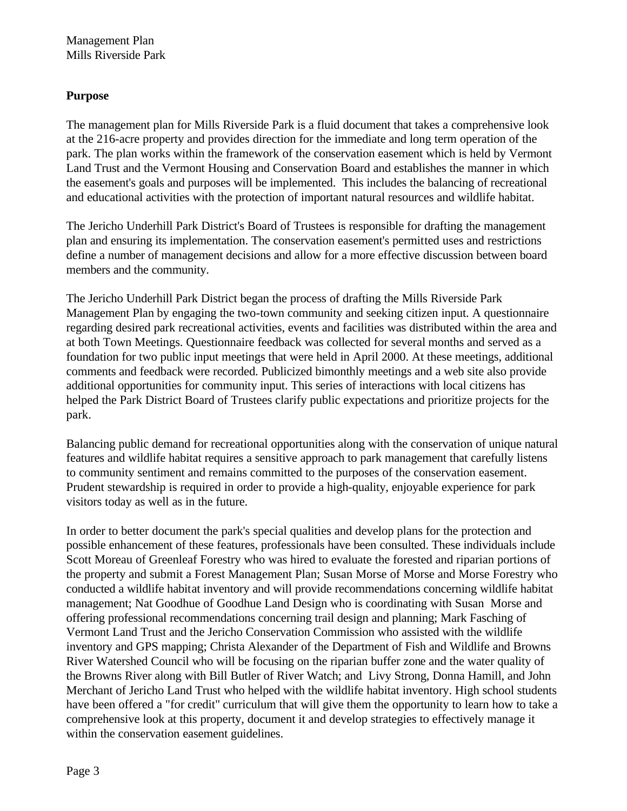# **Purpose**

The management plan for Mills Riverside Park is a fluid document that takes a comprehensive look at the 216-acre property and provides direction for the immediate and long term operation of the park. The plan works within the framework of the conservation easement which is held by Vermont Land Trust and the Vermont Housing and Conservation Board and establishes the manner in which the easement's goals and purposes will be implemented. This includes the balancing of recreational and educational activities with the protection of important natural resources and wildlife habitat.

The Jericho Underhill Park District's Board of Trustees is responsible for drafting the management plan and ensuring its implementation. The conservation easement's permitted uses and restrictions define a number of management decisions and allow for a more effective discussion between board members and the community.

The Jericho Underhill Park District began the process of drafting the Mills Riverside Park Management Plan by engaging the two-town community and seeking citizen input. A questionnaire regarding desired park recreational activities, events and facilities was distributed within the area and at both Town Meetings. Questionnaire feedback was collected for several months and served as a foundation for two public input meetings that were held in April 2000. At these meetings, additional comments and feedback were recorded. Publicized bimonthly meetings and a web site also provide additional opportunities for community input. This series of interactions with local citizens has helped the Park District Board of Trustees clarify public expectations and prioritize projects for the park.

Balancing public demand for recreational opportunities along with the conservation of unique natural features and wildlife habitat requires a sensitive approach to park management that carefully listens to community sentiment and remains committed to the purposes of the conservation easement. Prudent stewardship is required in order to provide a high-quality, enjoyable experience for park visitors today as well as in the future.

In order to better document the park's special qualities and develop plans for the protection and possible enhancement of these features, professionals have been consulted. These individuals include Scott Moreau of Greenleaf Forestry who was hired to evaluate the forested and riparian portions of the property and submit a Forest Management Plan; Susan Morse of Morse and Morse Forestry who conducted a wildlife habitat inventory and will provide recommendations concerning wildlife habitat management; Nat Goodhue of Goodhue Land Design who is coordinating with Susan Morse and offering professional recommendations concerning trail design and planning; Mark Fasching of Vermont Land Trust and the Jericho Conservation Commission who assisted with the wildlife inventory and GPS mapping; Christa Alexander of the Department of Fish and Wildlife and Browns River Watershed Council who will be focusing on the riparian buffer zone and the water quality of the Browns River along with Bill Butler of River Watch; and Livy Strong, Donna Hamill, and John Merchant of Jericho Land Trust who helped with the wildlife habitat inventory. High school students have been offered a "for credit" curriculum that will give them the opportunity to learn how to take a comprehensive look at this property, document it and develop strategies to effectively manage it within the conservation easement guidelines.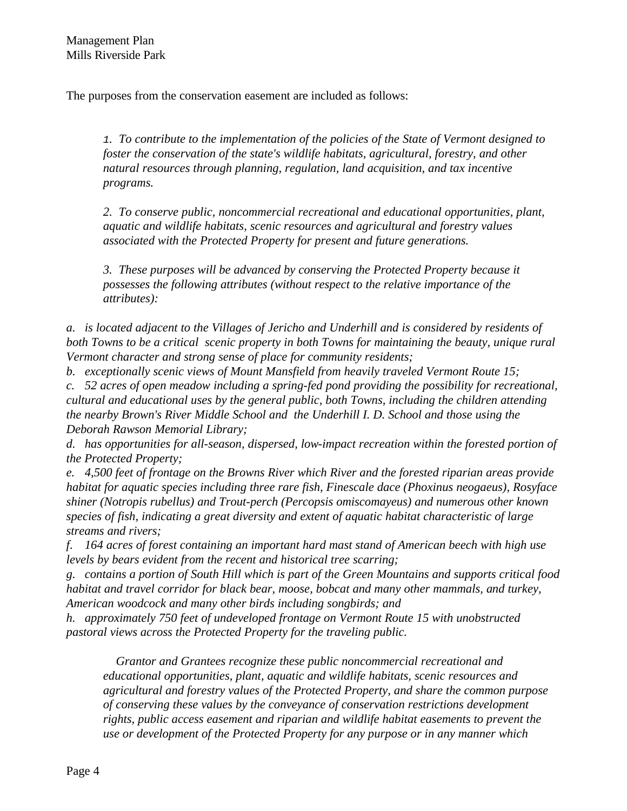The purposes from the conservation easement are included as follows:

*1. To contribute to the implementation of the policies of the State of Vermont designed to foster the conservation of the state's wildlife habitats, agricultural, forestry, and other natural resources through planning, regulation, land acquisition, and tax incentive programs.*

*2. To conserve public, noncommercial recreational and educational opportunities, plant, aquatic and wildlife habitats, scenic resources and agricultural and forestry values associated with the Protected Property for present and future generations.*

*3. These purposes will be advanced by conserving the Protected Property because it possesses the following attributes (without respect to the relative importance of the attributes):*

*a. is located adjacent to the Villages of Jericho and Underhill and is considered by residents of both Towns to be a critical scenic property in both Towns for maintaining the beauty, unique rural Vermont character and strong sense of place for community residents;*

*b. exceptionally scenic views of Mount Mansfield from heavily traveled Vermont Route 15; c. 52 acres of open meadow including a spring-fed pond providing the possibility for recreational, cultural and educational uses by the general public, both Towns, including the children attending the nearby Brown's River Middle School and the Underhill I. D. School and those using the Deborah Rawson Memorial Library;*

*d. has opportunities for all-season, dispersed, low-impact recreation within the forested portion of the Protected Property;*

*e. 4,500 feet of frontage on the Browns River which River and the forested riparian areas provide habitat for aquatic species including three rare fish, Finescale dace (Phoxinus neogaeus), Rosyface shiner (Notropis rubellus) and Trout-perch (Percopsis omiscomayeus) and numerous other known species of fish, indicating a great diversity and extent of aquatic habitat characteristic of large streams and rivers;*

*f. 164 acres of forest containing an important hard mast stand of American beech with high use levels by bears evident from the recent and historical tree scarring;*

*g. contains a portion of South Hill which is part of the Green Mountains and supports critical food habitat and travel corridor for black bear, moose, bobcat and many other mammals, and turkey, American woodcock and many other birds including songbirds; and*

*h. approximately 750 feet of undeveloped frontage on Vermont Route 15 with unobstructed pastoral views across the Protected Property for the traveling public.*

 *Grantor and Grantees recognize these public noncommercial recreational and educational opportunities, plant, aquatic and wildlife habitats, scenic resources and agricultural and forestry values of the Protected Property, and share the common purpose of conserving these values by the conveyance of conservation restrictions development rights, public access easement and riparian and wildlife habitat easements to prevent the use or development of the Protected Property for any purpose or in any manner which*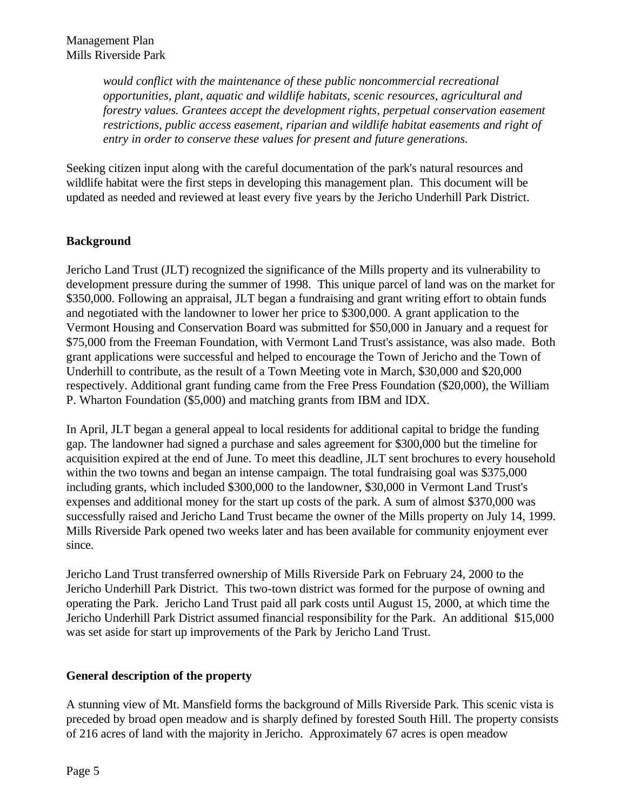*would conflict with the maintenance of these public noncommercial recreational opportunities, plant, aquatic and wildlife habitats, scenic resources, agricultural and forestry values. Grantees accept the development rights, perpetual conservation easement restrictions, public access easement, riparian and wildlife habitat easements and right of entry in order to conserve these values for present and future generations.*

Seeking citizen input along with the careful documentation of the park's natural resources and wildlife habitat were the first steps in developing this management plan. This document will be updated as needed and reviewed at least every five years by the Jericho Underhill Park District.

# **Background**

Jericho Land Trust (JLT) recognized the significance of the Mills property and its vulnerability to development pressure during the summer of 1998. This unique parcel of land was on the market for \$350,000. Following an appraisal, JLT began a fundraising and grant writing effort to obtain funds and negotiated with the landowner to lower her price to \$300,000. A grant application to the Vermont Housing and Conservation Board was submitted for \$50,000 in January and a request for \$75,000 from the Freeman Foundation, with Vermont Land Trust's assistance, was also made. Both grant applications were successful and helped to encourage the Town of Jericho and the Town of Underhill to contribute, as the result of a Town Meeting vote in March, \$30,000 and \$20,000 respectively. Additional grant funding came from the Free Press Foundation (\$20,000), the William P. Wharton Foundation (\$5,000) and matching grants from IBM and IDX.

In April, JLT began a general appeal to local residents for additional capital to bridge the funding gap. The landowner had signed a purchase and sales agreement for \$300,000 but the timeline for acquisition expired at the end of June. To meet this deadline, JLT sent brochures to every household within the two towns and began an intense campaign. The total fundraising goal was \$375,000 including grants, which included \$300,000 to the landowner, \$30,000 in Vermont Land Trust's expenses and additional money for the start up costs of the park. A sum of almost \$370,000 was successfully raised and Jericho Land Trust became the owner of the Mills property on July 14, 1999. Mills Riverside Park opened two weeks later and has been available for community enjoyment ever since.

Jericho Land Trust transferred ownership of Mills Riverside Park on February 24, 2000 to the Jericho Underhill Park District. This two-town district was formed for the purpose of owning and operating the Park. Jericho Land Trust paid all park costs until August 15, 2000, at which time the Jericho Underhill Park District assumed financial responsibility for the Park. An additional \$15,000 was set aside for start up improvements of the Park by Jericho Land Trust.

#### **General description of the property**

A stunning view of Mt. Mansfield forms the background of Mills Riverside Park. This scenic vista is preceded by broad open meadow and is sharply defined by forested South Hill. The property consists of 216 acres of land with the majority in Jericho. Approximately 67 acres is open meadow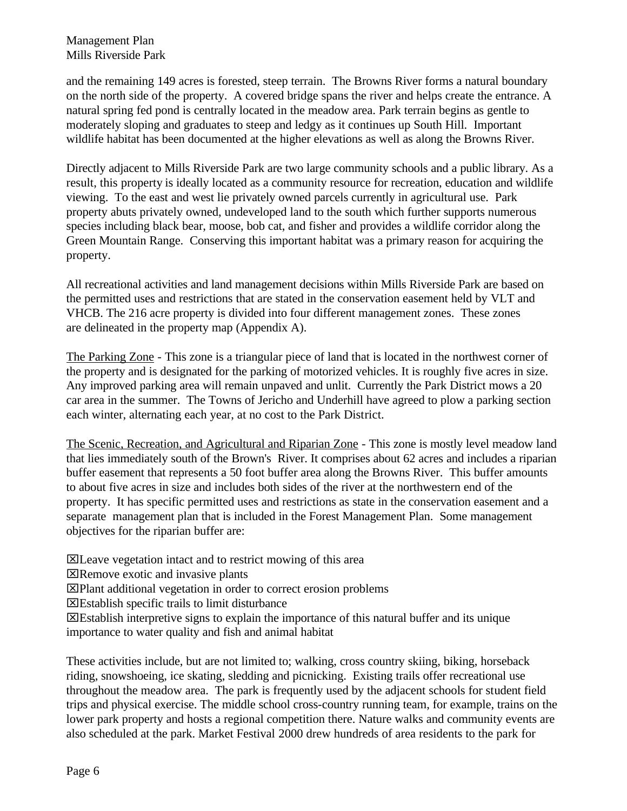and the remaining 149 acres is forested, steep terrain. The Browns River forms a natural boundary on the north side of the property. A covered bridge spans the river and helps create the entrance. A natural spring fed pond is centrally located in the meadow area. Park terrain begins as gentle to moderately sloping and graduates to steep and ledgy as it continues up South Hill. Important wildlife habitat has been documented at the higher elevations as well as along the Browns River.

Directly adjacent to Mills Riverside Park are two large community schools and a public library. As a result, this property is ideally located as a community resource for recreation, education and wildlife viewing. To the east and west lie privately owned parcels currently in agricultural use. Park property abuts privately owned, undeveloped land to the south which further supports numerous species including black bear, moose, bob cat, and fisher and provides a wildlife corridor along the Green Mountain Range. Conserving this important habitat was a primary reason for acquiring the property.

All recreational activities and land management decisions within Mills Riverside Park are based on the permitted uses and restrictions that are stated in the conservation easement held by VLT and VHCB. The 216 acre property is divided into four different management zones. These zones are delineated in the property map (Appendix A).

The Parking Zone - This zone is a triangular piece of land that is located in the northwest corner of the property and is designated for the parking of motorized vehicles. It is roughly five acres in size. Any improved parking area will remain unpaved and unlit. Currently the Park District mows a 20 car area in the summer. The Towns of Jericho and Underhill have agreed to plow a parking section each winter, alternating each year, at no cost to the Park District.

The Scenic, Recreation, and Agricultural and Riparian Zone - This zone is mostly level meadow land that lies immediately south of the Brown's River. It comprises about 62 acres and includes a riparian buffer easement that represents a 50 foot buffer area along the Browns River. This buffer amounts to about five acres in size and includes both sides of the river at the northwestern end of the property. It has specific permitted uses and restrictions as state in the conservation easement and a separate management plan that is included in the Forest Management Plan. Some management objectives for the riparian buffer are:

xLeave vegetation intact and to restrict mowing of this area

xRemove exotic and invasive plants

xPlant additional vegetation in order to correct erosion problems

xEstablish specific trails to limit disturbance

xEstablish interpretive signs to explain the importance of this natural buffer and its unique importance to water quality and fish and animal habitat

These activities include, but are not limited to; walking, cross country skiing, biking, horseback riding, snowshoeing, ice skating, sledding and picnicking. Existing trails offer recreational use throughout the meadow area. The park is frequently used by the adjacent schools for student field trips and physical exercise. The middle school cross-country running team, for example, trains on the lower park property and hosts a regional competition there. Nature walks and community events are also scheduled at the park. Market Festival 2000 drew hundreds of area residents to the park for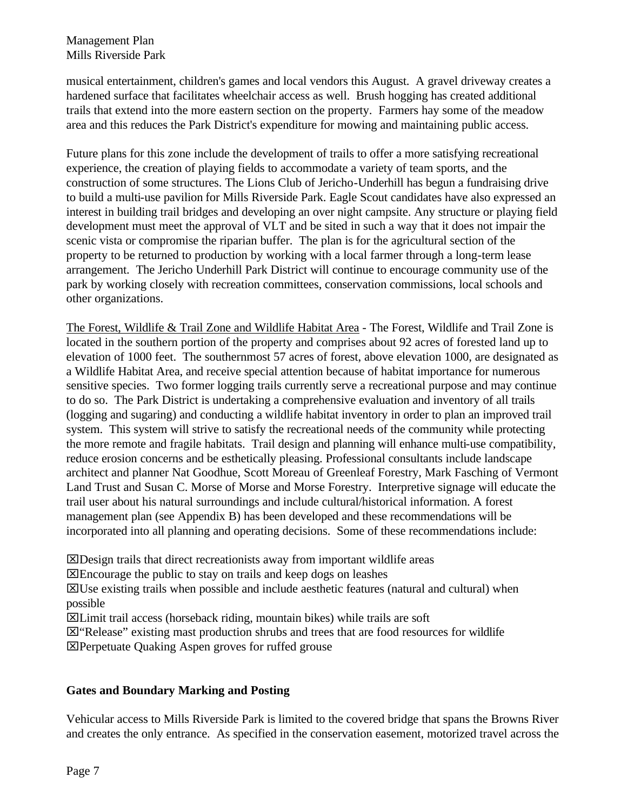musical entertainment, children's games and local vendors this August. A gravel driveway creates a hardened surface that facilitates wheelchair access as well. Brush hogging has created additional trails that extend into the more eastern section on the property. Farmers hay some of the meadow area and this reduces the Park District's expenditure for mowing and maintaining public access.

Future plans for this zone include the development of trails to offer a more satisfying recreational experience, the creation of playing fields to accommodate a variety of team sports, and the construction of some structures. The Lions Club of Jericho-Underhill has begun a fundraising drive to build a multi-use pavilion for Mills Riverside Park. Eagle Scout candidates have also expressed an interest in building trail bridges and developing an over night campsite. Any structure or playing field development must meet the approval of VLT and be sited in such a way that it does not impair the scenic vista or compromise the riparian buffer. The plan is for the agricultural section of the property to be returned to production by working with a local farmer through a long-term lease arrangement. The Jericho Underhill Park District will continue to encourage community use of the park by working closely with recreation committees, conservation commissions, local schools and other organizations.

The Forest, Wildlife & Trail Zone and Wildlife Habitat Area - The Forest, Wildlife and Trail Zone is located in the southern portion of the property and comprises about 92 acres of forested land up to elevation of 1000 feet. The southernmost 57 acres of forest, above elevation 1000, are designated as a Wildlife Habitat Area, and receive special attention because of habitat importance for numerous sensitive species. Two former logging trails currently serve a recreational purpose and may continue to do so. The Park District is undertaking a comprehensive evaluation and inventory of all trails (logging and sugaring) and conducting a wildlife habitat inventory in order to plan an improved trail system. This system will strive to satisfy the recreational needs of the community while protecting the more remote and fragile habitats. Trail design and planning will enhance multi-use compatibility, reduce erosion concerns and be esthetically pleasing. Professional consultants include landscape architect and planner Nat Goodhue, Scott Moreau of Greenleaf Forestry, Mark Fasching of Vermont Land Trust and Susan C. Morse of Morse and Morse Forestry. Interpretive signage will educate the trail user about his natural surroundings and include cultural/historical information. A forest management plan (see Appendix B) has been developed and these recommendations will be incorporated into all planning and operating decisions. Some of these recommendations include:

xDesign trails that direct recreationists away from important wildlife areas

xEncourage the public to stay on trails and keep dogs on leashes

 $\boxtimes$ Use existing trails when possible and include aesthetic features (natural and cultural) when possible

xLimit trail access (horseback riding, mountain bikes) while trails are soft

 $\boxtimes$  "Release" existing mast production shrubs and trees that are food resources for wildlife

**X**Perpetuate Quaking Aspen groves for ruffed grouse

# **Gates and Boundary Marking and Posting**

Vehicular access to Mills Riverside Park is limited to the covered bridge that spans the Browns River and creates the only entrance. As specified in the conservation easement, motorized travel across the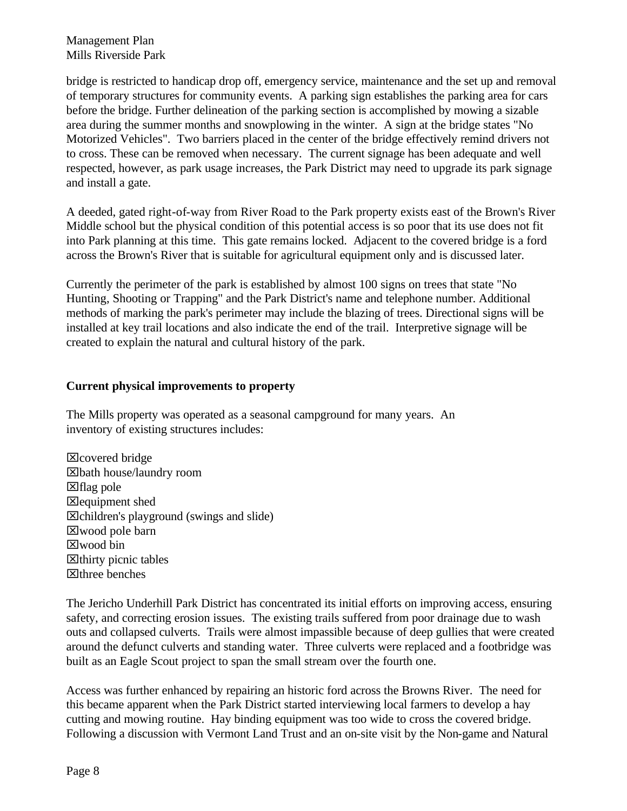Management Plan Mills Riverside Park

bridge is restricted to handicap drop off, emergency service, maintenance and the set up and removal of temporary structures for community events. A parking sign establishes the parking area for cars before the bridge. Further delineation of the parking section is accomplished by mowing a sizable area during the summer months and snowplowing in the winter. A sign at the bridge states "No Motorized Vehicles". Two barriers placed in the center of the bridge effectively remind drivers not to cross. These can be removed when necessary. The current signage has been adequate and well respected, however, as park usage increases, the Park District may need to upgrade its park signage and install a gate.

A deeded, gated right-of-way from River Road to the Park property exists east of the Brown's River Middle school but the physical condition of this potential access is so poor that its use does not fit into Park planning at this time. This gate remains locked. Adjacent to the covered bridge is a ford across the Brown's River that is suitable for agricultural equipment only and is discussed later.

Currently the perimeter of the park is established by almost 100 signs on trees that state "No Hunting, Shooting or Trapping" and the Park District's name and telephone number. Additional methods of marking the park's perimeter may include the blazing of trees. Directional signs will be installed at key trail locations and also indicate the end of the trail. Interpretive signage will be created to explain the natural and cultural history of the park.

#### **Current physical improvements to property**

The Mills property was operated as a seasonal campground for many years. An inventory of existing structures includes:

xcovered bridge xbath house/laundry room  $\boxtimes$  flag pole  $\boxtimes$  equipment shed  $\boxtimes$ children's playground (swings and slide) xwood pole barn xwood bin  $\boxtimes$  thirty picnic tables  $\boxtimes$ three benches

The Jericho Underhill Park District has concentrated its initial efforts on improving access, ensuring safety, and correcting erosion issues. The existing trails suffered from poor drainage due to wash outs and collapsed culverts. Trails were almost impassible because of deep gullies that were created around the defunct culverts and standing water. Three culverts were replaced and a footbridge was built as an Eagle Scout project to span the small stream over the fourth one.

Access was further enhanced by repairing an historic ford across the Browns River. The need for this became apparent when the Park District started interviewing local farmers to develop a hay cutting and mowing routine. Hay binding equipment was too wide to cross the covered bridge. Following a discussion with Vermont Land Trust and an on-site visit by the Non-game and Natural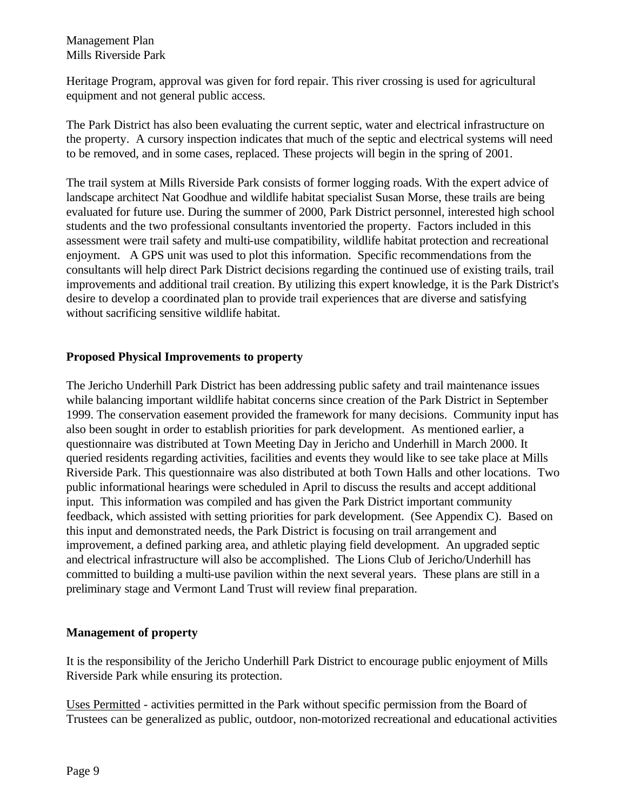Heritage Program, approval was given for ford repair. This river crossing is used for agricultural equipment and not general public access.

The Park District has also been evaluating the current septic, water and electrical infrastructure on the property. A cursory inspection indicates that much of the septic and electrical systems will need to be removed, and in some cases, replaced. These projects will begin in the spring of 2001.

The trail system at Mills Riverside Park consists of former logging roads. With the expert advice of landscape architect Nat Goodhue and wildlife habitat specialist Susan Morse, these trails are being evaluated for future use. During the summer of 2000, Park District personnel, interested high school students and the two professional consultants inventoried the property. Factors included in this assessment were trail safety and multi-use compatibility, wildlife habitat protection and recreational enjoyment. A GPS unit was used to plot this information. Specific recommendations from the consultants will help direct Park District decisions regarding the continued use of existing trails, trail improvements and additional trail creation. By utilizing this expert knowledge, it is the Park District's desire to develop a coordinated plan to provide trail experiences that are diverse and satisfying without sacrificing sensitive wildlife habitat.

# **Proposed Physical Improvements to property**

The Jericho Underhill Park District has been addressing public safety and trail maintenance issues while balancing important wildlife habitat concerns since creation of the Park District in September 1999. The conservation easement provided the framework for many decisions. Community input has also been sought in order to establish priorities for park development. As mentioned earlier, a questionnaire was distributed at Town Meeting Day in Jericho and Underhill in March 2000. It queried residents regarding activities, facilities and events they would like to see take place at Mills Riverside Park. This questionnaire was also distributed at both Town Halls and other locations. Two public informational hearings were scheduled in April to discuss the results and accept additional input. This information was compiled and has given the Park District important community feedback, which assisted with setting priorities for park development. (See Appendix C). Based on this input and demonstrated needs, the Park District is focusing on trail arrangement and improvement, a defined parking area, and athletic playing field development. An upgraded septic and electrical infrastructure will also be accomplished. The Lions Club of Jericho/Underhill has committed to building a multi-use pavilion within the next several years. These plans are still in a preliminary stage and Vermont Land Trust will review final preparation.

#### **Management of property**

It is the responsibility of the Jericho Underhill Park District to encourage public enjoyment of Mills Riverside Park while ensuring its protection.

Uses Permitted - activities permitted in the Park without specific permission from the Board of Trustees can be generalized as public, outdoor, non-motorized recreational and educational activities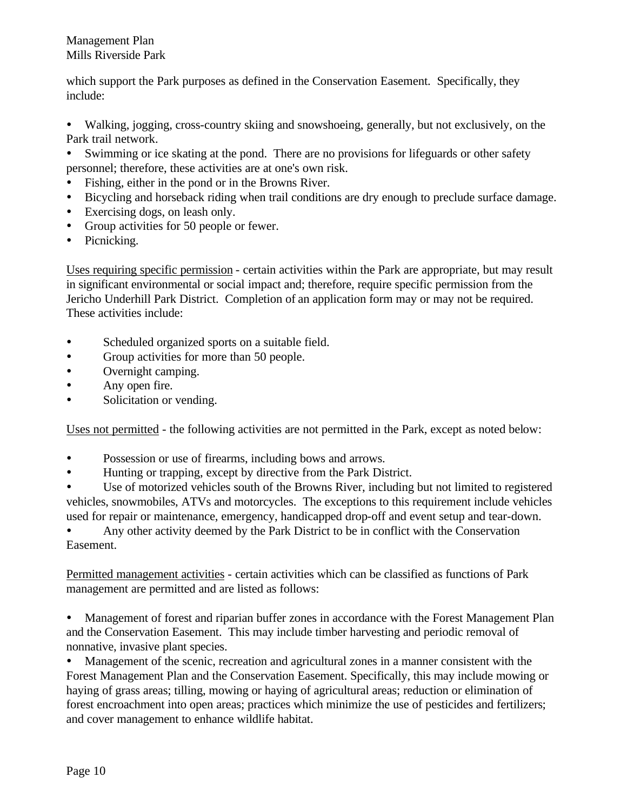#### Management Plan Mills Riverside Park

which support the Park purposes as defined in the Conservation Easement. Specifically, they include:

ü Walking, jogging, cross-country skiing and snowshoeing, generally, but not exclusively, on the Park trail network.

- Swimming or ice skating at the pond. There are no provisions for lifeguards or other safety personnel; therefore, these activities are at one's own risk.
- ü Fishing, either in the pond or in the Browns River.
- Bicycling and horseback riding when trail conditions are dry enough to preclude surface damage.
- Exercising dogs, on leash only.
- Group activities for 50 people or fewer.
- Picnicking.

Uses requiring specific permission - certain activities within the Park are appropriate, but may result in significant environmental or social impact and; therefore, require specific permission from the Jericho Underhill Park District. Completion of an application form may or may not be required. These activities include:

- Scheduled organized sports on a suitable field.
- Group activities for more than 50 people.
- Overnight camping.
- Any open fire.
- Solicitation or vending.

Uses not permitted - the following activities are not permitted in the Park, except as noted below:

- ü Possession or use of firearms, including bows and arrows.
- ü Hunting or trapping, except by directive from the Park District.

ü Use of motorized vehicles south of the Browns River, including but not limited to registered vehicles, snowmobiles, ATVs and motorcycles. The exceptions to this requirement include vehicles used for repair or maintenance, emergency, handicapped drop-off and event setup and tear-down.

ü Any other activity deemed by the Park District to be in conflict with the Conservation Easement.

Permitted management activities - certain activities which can be classified as functions of Park management are permitted and are listed as follows:

ü Management of forest and riparian buffer zones in accordance with the Forest Management Plan and the Conservation Easement. This may include timber harvesting and periodic removal of nonnative, invasive plant species.

ü Management of the scenic, recreation and agricultural zones in a manner consistent with the Forest Management Plan and the Conservation Easement. Specifically, this may include mowing or haying of grass areas; tilling, mowing or haying of agricultural areas; reduction or elimination of forest encroachment into open areas; practices which minimize the use of pesticides and fertilizers; and cover management to enhance wildlife habitat.